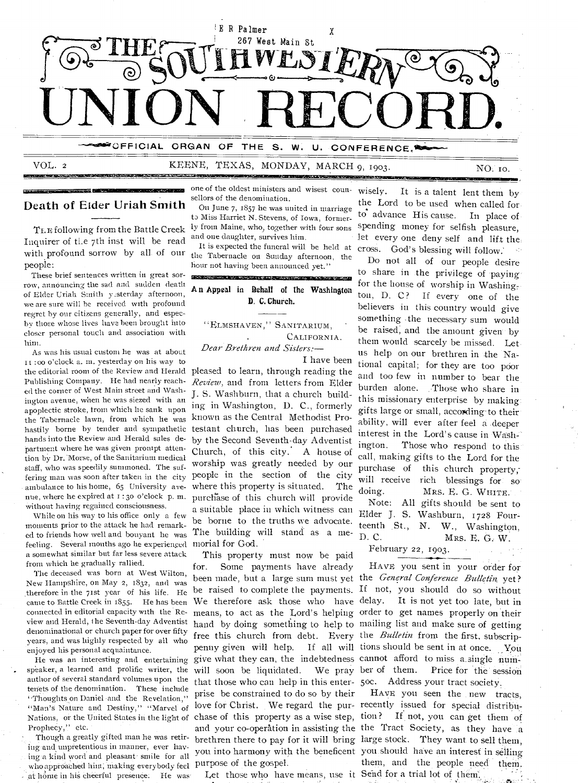

eśzu

11410.210. 41Sli

VOL. 2 KEENE, TEXAS, MONDAY, MARCH 9, 1903.

NO. to.

#### Death of Eider Uriah Smith

Inquirer of ti.e 7th inst will be read with profound sorrow by all of our the Tabernacle on Sunday afternoon, the people:

These brief sentences written in great sor row, announcing the sad and sudden death of Elder Uriah Smith yesterday afternoon, we are sure will be received with profound regret by our citizens generally, and especby those whose lives have been brought into closer personal touch and association with him.

As was his usual custom he was at about 11 :00 o'clock a. in. yesterday on his way to the editorial room of the Review and Herald Publishing Company. He had nearly reached the corner of West Main street and Washington avenue, when he was siezed with an apoplectic stroke, trom which lie sank upon the Tabernacle lawn, from which he was hastily borne by tender and sympathetic hands into the Review and Herald sales department where he was given prompt attention by Dr. Morse, of the Sanitarium medical staff, who was speedily summoned. The suffering man was soon after taken in the city ambulance to his home, 65 University avenue, where he expired at i : 30 o'clock p. m. without having regained consciousness.

While on his way to his office only a few moments prior to the attack he had remarked to friends how well and bouyant he was feeling. Several months ago he experienced morial for God. a somewhat similar but far less severe attack from which he gradually rallied.

The deceased was born at West Wilton, New Hampshire, on May 2, 1832, and was therefore in the 71st year of his life. He came to Battle Creek in 1355. He has been connected in editorial capacity with the Review and Herald, I he Seventh-day Adventist denominational or church paper for over fifty years, and was highly respected by all who enjoyed his personal acquaintance.

speaker, a learned and prolific writer, the author of several standard volumes upon the tenets of the denomination. These include "Thoughts on Daniel and the Revelation," "Man's Nature and Destiny," "Marvel of Prophecy," etc.

Though a greatly gifted man he was retiring- and unpretentious in manner, ever havwho approached him; making everybody feel purpose of the gospel. at home in his cheerful presence. He was

one of the oldest ministers and wisest counsellors of the denomination.

TEE following from the Battle Creek ly from Maine, who, together with four sons On June 7, 1857 he was united in marriage to Miss Harriet N. Stevens, of Iowa, formerand one daughter, survives him.

hour not having been announced yet."

|               |  |  |  |  |  | <u>and the second company of the second company of the second company of the second company of the second company of</u><br>An Appeal in Rehalf of the Washington |  |  |
|---------------|--|--|--|--|--|-------------------------------------------------------------------------------------------------------------------------------------------------------------------|--|--|
| D. C. Church. |  |  |  |  |  |                                                                                                                                                                   |  |  |
|               |  |  |  |  |  |                                                                                                                                                                   |  |  |

ELMSHAVEN," SANITARIUM, CALIFORNIA.

*Dear Brethren and Sisters:— I* have been

pleased to learn, through reading the *Review,* and from letters from Elder J. S. Washburn, that a church building in Washington, D. C., formerly known as the Central Methodist Protestant church, has been purchased by the Second Seventh-day Adventist Church, of this city.' A house of worship was greatly needed by our people in the section of the city where this property is situated. The purchase of this church will provide a suitable place iu which witness can be borne to the truths we advocate. The building will stand as a me-

He was an interesting and entertaining give what they can, the indebtedness cannot afford to miss a single num-Nations, or the United States in the light of chase of this property as a wise step, tion? If not, you can get them of This property must now be paid Some payments have already free this church from debt. Every the *Bulletin* from the first, subscripwill soon be liquidated. We pray ber of them. that those who can help in this enter-5oc. Address your tract society. prise be constrained to do so by their love for Christ. We regard the pur-recently issued for special distribu-

Let those who have means, use it Send for a trial lot of them.

It is expected the funeral will be held at cross. God's blessing will follow.' wisely. It is a talent lent them by the Lord to be used when called for.  $\overrightarrow{10}$  advance His cause. In place of spending money for selfish pleasure, let every one deny self and lift the:

0223121MENIW

Do not all of our people desire to share in the privilege of paying for the house of worship in Washing, ton, D. C? If every one of the believers in this country would give something .the necessary sum would be raised, and the amount given by them would scarcely be missed. Let. us help on our brethren in .the National capital; for they are too poor and too few in number to bear the burden alone. Those who share in this missionary enterprise by making: gifts large or small, according to their ability, will ever after feel a deeper interest in the Lord's cause in Wash-<br>ington. Those who respond to this Those who respond to this. call, making gifts to the Lord for the purchase of this church property, will receive rich blessings for so. doing. MRS. E. G. WHITE. Note: All gifts should be sent to Elder J. S. Washburn, 1728 Four teenth St., N. W., Washington,<br>D.C. MRS. E. G. W. Mrs. E. G., W.

#### February 22, 1903.

been made, but a large sum must yet the *General Conference Bulletin* yet? be raised to complete the payments. If not, you should do so without We therefore ask those who have delay. It is not yet too late, but in means, to act as the Lord's helping order to get names properly on their hand by doing something to help to mailing list and make sure of getting penny given will help. If all will tions should be sent in at once. You HAVE you sent in your order for Price for the session

ing and unpretentious in manner, ever may you into harmony with the beneficent you should have an interest in selling<br>ing a kind word and pleasant smile for all surveyed of the word. and your co-operation in assisting the the Tract Society, as they have a brethren there to pay for it will bring large stock. They want to sell them, HAVE you seen the new tracts, them, and the people need them.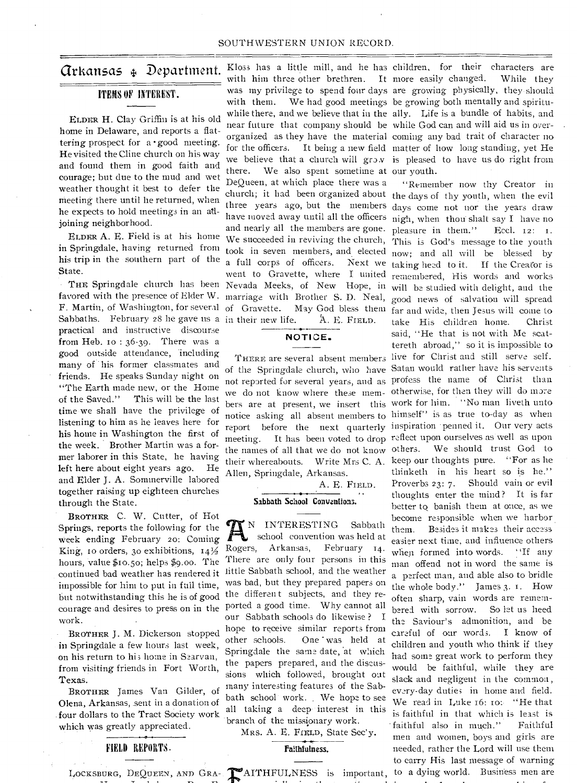#### ITEMS OF INTEREST.

ELDER H. Clay Griffin is at his old home in Delaware, and reports a flattering prospect for a · good meeting. He visited the Cline church on his way and found them in good faith and courage; but due to the mud and wet weather thought it best to defer the meeting there until he returned, when he expects to hold meetings in an atljoining neighborhood.

ELDER A. E. Field is at his home in Springdale, having returned from his trip in the southern part of the State.

Sabbaths. February 28 he gave us a in their new life.  $A. E.$  FIELD. F. Martin, of Washington, for several of Gravette. practical and instructive discourse from Heb. to : 36-39. There was a good outside attendance, 'including many of his former classmates and friends. He speaks Sunday night on "The Earth made new, or the Home of the Saved." This will be the last time we shall have the privilege of listening to him as he leaves here for his home in Washington the first of the week. Brother Martin was a former laborer in this State, he having left here about eight years ago. He and Elder J. A. Sommerville labored together raising up eighteen churches through the State.

BROTHER C. W. Cutter, of Hot Springs, reports the following for the Week ending February zo: Coming King, 10 orders, 30 exhibitions,  $14\frac{1}{2}$ hours, value \$10.50; helps \$9.00. The impossible for him to put in full time, but notwithstanding this he is of good work.

BROTHER J. M. Dickerson stopped in Springdale a few hours last week, on his return to hi; home in Searvan, from visiting friends in Fort Worth, Texas.

BROTHER James Van Gilder, of Olena, Arkansas, .sent in a donation of . four dollars to the Tract Society work which was greatly appreciated.

#### FIELD REPORTS.

with him three other brethren. It more easily changed. with them. We had good meetings be growing both mentally and spiritunear future that company should be while God can and will aid us in overfor the officers. It being a new field matter of how long standing, yet He we believe that a church will grow is pleased to have us do right from there. We also spent sometime at our youth. DeQueen, at which place there was a church; it had been organized about the days of thy youth, when the evil three years ago, but the members days come not nor the years draw have moved away until all the officers nigh, when thou shalt say I have no and nearly all the members are gone. pleasure in them." Eccl. 12: I. We succeeded in reviving the church, This is God's message to the youth took in seven members, and elected now; and all will be blessed by a full corps of officers. Next we went to Gravette, where I united THE Springdale church has been Nevada Meeks, of New Hope, in will be studied with delight, and the favored with the presence of Elder W. marriage with Brother S. D. Neal, May God bless them

# NOTICE.

of the Springdale church, who have Satan would rather have his servents not reported for several years, and as profess the name of Christ than we do not know where these mem-otherwise, for then they will do more bers are at present, we insert this work for him. "No man liveth unto notice asking all absent members to himself" is as true to-day as when report before the next quarterly inspiration penned it. Our very acts meeting. It has been voted to drop reflect upon ourselves as' well as upon the names of all that we do not know others. We should trust God to their whereabouts. Write Mrs C. A. keep our thoughts pure. "For as he Allen, Springdale, Arkansas.

A. E. FIELD.

#### Sabbath School Conventions.

N INTERESTING Sabbath school convention was held at Rogers, Arkansas, February 14. There are only four persons in this continued bad weather has rendered it little Sabbath school, and the weather was bad, but they prepared papers on the differen t subjects, and they recourage and desires to press on in the ported a good time. Why cannot all our Sabbath schools do likewise ? I hope to receive similar reports from other schools. One was held at Springdale the same date, 'at which the papers prepared, and the discussions which followed, brought out many interesting features of the Sabbath school work. We hope to see all taking a deep interest in this branch of the missionary work.

MRs. A. E. FIELD, State Sec'y.

#### Faithfulness.

LOCKSBURG, DEQUEEN, AND GRA- MAITHFULNESS is important, to a dying world. Business m

**Grkansas**  $\oint$  Department. Kloss has a little mill, and he has children, for their characters are was my privilege to spend four days are growing physically, they. should while there, and we believe that in the ally. Life is a bundle of habits, and organized as they have the material coming any bad trait of character no more easily changed. While they

> THERE are several absent members live for Christ and still serve self. "Remember now thy Creator in taking heal to it. If the Creator is remembered, His words and works good news of salvation will spread far and wide, then Jesus will come to take His children home. Christ said, "He that is not with Me scattereth abroad," so it is impossible to thinketh in his heart so is he." Proverbs 23: 7. Should vain or evil thoughts enter the mind? It is far better to banish them at once, as we become responsible when we harbor them. Besides it makes their access easier next time, and influence others when formed into words. "If any man offend not in word the same is a perfect man, and able also to bridle the whole body." James 3. i. How often sharp, vain words are remem-<br>bered with sorrow. So let us heed bered with sorrow. the Saviour's admonition, and be careful of our words. I know of children and youth who think if they had some great work to perform they would be faithful, while they are slack and negligent in the common , every-day duties in home and field. We read in Luke 16: 10: "He that is faithful in that which is least is faithful also in much." Faithful men and women, boys and girls are needed, rather the Lord will use them to carry His last message of warning to a dying world. Business men are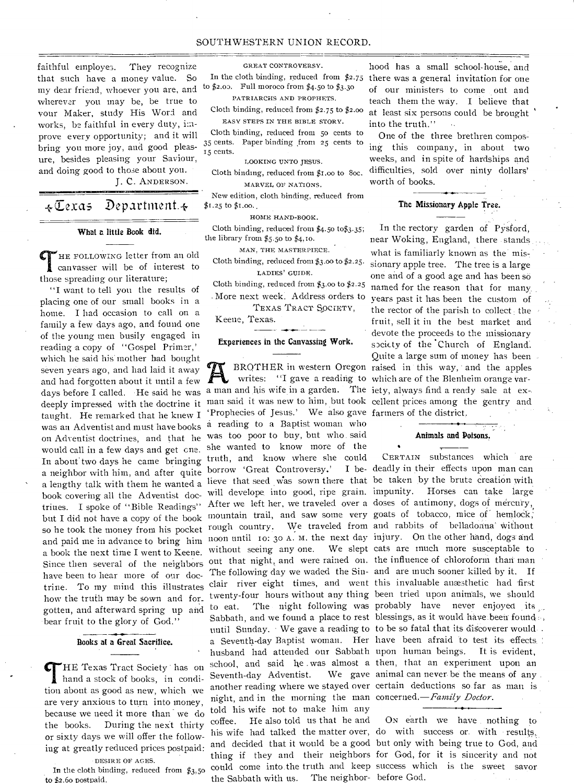#### SOUTHWESTERN UNION RECORD.

faithful employes. They recognize that such have a money value. So my dear friend, whoever you are, and wherever you may be, be true to your Maker, study His Word and works, be faithful in every duty, improve every opportunity; and it will bring you more joy, and good pleasure, besides pleasing your Saviour, and doing good to those about you.

J. C. ANDERSON.

 $\star$ Cexas Department. $\star$ 

#### What a little Book did.

HE FOLLOWING letter from an old canvasser will be of interest to those spreading our literature;

"I want to tell you the results of placing one of our small books in a home. I had occasion to call on a family a few days ago, and found one of the young men busily engaged in reading a copy of "Gospel Primer,' which he said his mother had bought seven years ago, and had laid it away and had forgotten about it until a few days before I called. •He said he was deeply impressed with the doctrine it taught. He remarked that he knew I was an Adventist and must have books on Adventist doctrines, and that he would call in a few days and get one.. In about two days he came bringing a neighbor with him, and after quite a lengthy talk with them he wanted a book covering all the Adventist doctrines. I spoke of "Bible Readings" but I did not have a copy of the book so he took the money from his pocket and paid me in advance to bring him a book the next time I went to Keene. Since then several of the neighbors have been to hear more of our doctrine. To my mind this illustrates how the truth may be sown and for\_ gotten, and afterward spring up and to eat. bear fruit to the glory of God."

#### Books at a Great Sacrifice.

"HE Texas Tract Society has on hand a stock of books, in condition about as good as new, which we are very anxious to turn into money, because we need it more than we do the books. During the next thirty or sixty days we will offer the following at greatly reduced prices postpaid: DESIRE OF AGES.

In the cloth binding, reduced from \$3,50 to \$2.60 postpaid.

GREAT CONTROVERSY.

to  $$2.05$ . Full moroco from  $$4.50$  to  $$3.30$ 

PATRIARCHS AND PROPHETS.

Cloth binding, reduced from \$2.75 to \$2.00 EASY STEPS IN THE BIBLE STORY.

Cloth binding, reduced from 5o cents to 35 cents. Paper binding from 25 cents to 15 cents.

LOOKING UNTO JESUS.

Cloth binding, reduced from \$I.00 to Soc. MARVEL OF NATIONS.

New edition, cloth binding, reduced from \$1.25 to \$1.00.

HOME HAND-BOOK.

Cloth binding, reduced from \$4.50 to\$3.35; the library from \$5.50 to \$4,10.

MAN, THE MASTERPIECE.

Cloth binding, reduced from \$3.00 to \$2.25. LADIES' GUIDE.

Cloth binding, reduced from \$3.00 to \$2.25

- More next week. Address orders to TEXAS TRACT SoCiETY,

**- - -** 

Keene, Texas.

#### Experiences in the Canvassing Work.

a man and his wife in a garden. The iety, always find a ready sale at ex-. man said it was new to him, but took cellent prices among the gentry and 'Prophecies of Jesus.' We also gave farmers of the district. a reading to a Baptist woman who was too poor to buy, but who said she wanted to know more of the truth, and know where she could borrow 'Great Controversy.' lieve that seed Was sown there that be taken by the brute Creation with will develope, into good, ripe grain. impunity. Horses can take large After we left her, we traveled over a doses of antimony, dogs of mercury, mountain trail, and saw some very goats of tobacco, mice of hemlock, rough country. We traveled from and rabbits of belladonna' Without noon until to: 3o A. M. the next day injury. On the other hand, dogs and without seeing any one. out that night, and were rained on. the influence of chloroform than man The following day we waded the Sin-and are much sooner killed by it. If Seventh-day Adventist. night, and in the morning the man concerned.—Family *Doctor.*  told his wife not to make him any coffee. He also told us that he and the Sabbath with us. The neighbor-before God.

hood has a small school-house, and In the cloth binding, reduced from \$2.75 there was a general invitation for one of our ministers to come out and teach them the way. I believe that at least six persons could be brought into the truth."

> One of the three brethren composing this company, in about two weeks, and in spite of hardships and difficulties, sold over ninty dollars' worth of books.

#### The Missionary Apple Tree.

BROTHER in western Oregon raised in this way, and the apples writes: "I gave a reading to which are of the Blenheim orange var-In the rectory garden of PYsford, near Woking, England, there -stands what is familiarly known as the missionary apple tree. The tree is a large one and of a good age and has been so named for the reason that for many. years past it has been the custom of the rector of the parish to collect the fruit, sell it in the best market and devote the proceeds to the missionary spciety of the Church of England. Quite a large sum of money has been

#### Animals and Poisons.

•

clair river eight times, and went this invaluable anæsthetic had first twenty-four hours without any thing been tried upon animals, we should to eat. The night following was probably have never enjoyed its Sabbath, and we found a place to rest blessings, as it would have been found ... until Sunday. We gave a reading to to be so fatal that its discoverer would a Seventh-day Baptist woman. Her have been afraid to test its effects husband had attended our Sabbath upon human beings. It is evident, school, and said he was almost a then, that an experiment upon an another reading where we stayed over certain deductions so far as man is CERTAIN substances which are I be- deadly in their effects upon man can We slept cats are much more susceptable to We gave animal can never be the means of any.

his wife had talked the matter over, do with success or with results, and decided that it would be a good but only with being true to God, and thing if they and their neighbors for God, for it is sincerity and not could come into the truth and keep success which is the sweet savor ON earth we have nothing to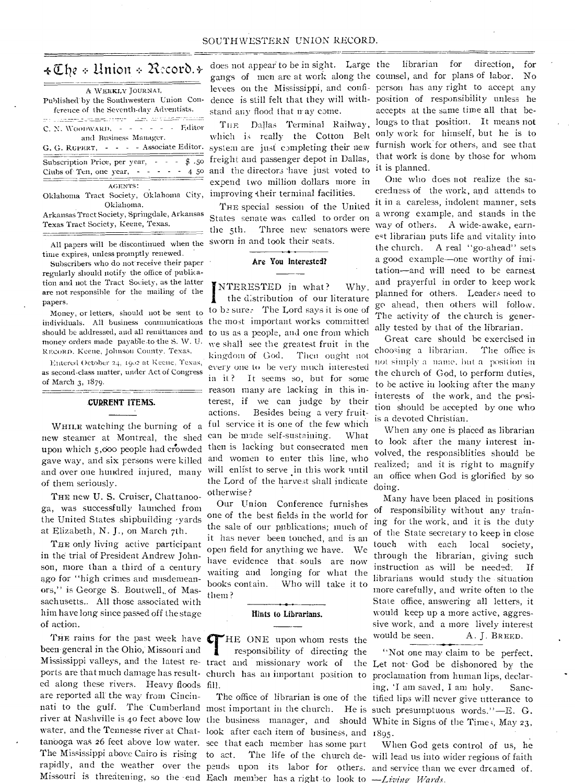#### *Zile anion 21:corb.+-*

| A WEEKLY JOURNAL<br>Published by the Southwestern Union Con-                                                                                                                                                                                                                                                      |
|-------------------------------------------------------------------------------------------------------------------------------------------------------------------------------------------------------------------------------------------------------------------------------------------------------------------|
| ference of the Seventh-day Adventists.                                                                                                                                                                                                                                                                            |
| station and the second company                                                                                                                                                                                                                                                                                    |
| C. N. WOODWARD, $\frac{1}{2}$ $\frac{1}{2}$ $\frac{1}{2}$ $\frac{1}{2}$ $\frac{1}{2}$ $\frac{1}{2}$ $\frac{1}{2}$ $\frac{1}{2}$ $\frac{1}{2}$ $\frac{1}{2}$ $\frac{1}{2}$ $\frac{1}{2}$ $\frac{1}{2}$ $\frac{1}{2}$ $\frac{1}{2}$ $\frac{1}{2}$ $\frac{1}{2}$ $\frac{1}{2}$ $\frac{1}{2}$ $\frac{1}{2}$ $\frac{1$ |
| and Business Manager.                                                                                                                                                                                                                                                                                             |
| G. G. RUPERT, - - - - Associate Editor.                                                                                                                                                                                                                                                                           |
| Subscription Price, per year, $\sim$ - $\cdot$ \$ .50                                                                                                                                                                                                                                                             |
| Clubs of Ten, one year, - - - - - 4 50                                                                                                                                                                                                                                                                            |
| AGENTS:                                                                                                                                                                                                                                                                                                           |
| Oklahoma Tract Society, Oklahoma City,                                                                                                                                                                                                                                                                            |
| Oklahoma.                                                                                                                                                                                                                                                                                                         |
| Arkansas Tract Society, Springdale, Arkansas                                                                                                                                                                                                                                                                      |

Texas Tract Society, Keene, Texas.

All papers will be discontinued when the time expires, unless promptly renewed.

Subscribers who do not receive their paper regularly should notify the office of publication and not the Tract Society, as the latter are not responsible for the mailing of the papers.

Money, or letters, should not be sent to individuals. All business communications should be addressed, and all remittances and money orders made payable-to the S. W. U. REcoRn. Keene, Johnson County, Texas.

Entered October 24, 1902 at Keene, Texas, as second-class matter, under Act of Congress of March 3, 1879.

### CURRENT ITEMS.

WHILE watching the burning of a new steamer at Montreal, the shed upon which 5,000 people had crowded gave way, and six persons were killed and over one hundred injured, many of them seriously.

THE new U. S. Cruiser, Chattanooga, was successfully launched from the United States shipbuilding -yards at Elizabeth, N. J., on March 7th.

THE only living active participant in the trial of President Andrew Johnson, more than a third of a century ago for "high crimes and misdemeanors," is George S. Boutwell, of Massachusetts.. All those associated with him have long since passed off the stage of action.

been general in the Ohio, Missouri and ports are that much damage has result-church has an important position to ed along these rivers. Heavy floods fill. are reported all the way from Cincinwater, and the Tennesse river at Chat-look after each item of business, and 1895. tanooga was 26 feet above low water. see that each member has some part The Mississippi above Cairo is rising to act. rapidly, and the weather over the pends upon its labor for others. and service than we ever dreamed of. Missouri is threatening, so the end Each member has a right to look to - Living Wards.

does not appear to be in sight. Large the librarian for direction, for stand any flood that may come.

THE Dallas Terminal Railway, which is really the Cotton Belt system are just completing their new freight and passenger depot in Dallas, and the directors 'have just voted to expend two million dollars more in improving their terminal facilities.

THE special session of the United States senate was called to order on the 5th. Three new senators were sworn in and took their seats.

#### Are You Interested?

NTERESTED in what? Why, the distribution of our literature to be sure. The Lord says it is one of the most important works committed to us as a people, and one from which we shall see the greatest fruit in the kingdom of God. Then ought not every one to be very much interested in it.? It seems so, but for some reason many are lacking in this interest, if we can judge by their actions. Besides being a very fruitful service it is one of the few which can be made self-sustaining. What then is lacking but consecrated men and women to enter this line, who will enlist to serve in this work until the Lord of the harvest shall indicate otherwise?

Our Union Conference furnishes one of the best fields in the world for the sale of our publications; much of it has never been touched, and is an open field for anything we have. We have evidence that. souls are now waiting and longing for what the books contain. Who will take it to them?

#### Hints to Librarians.

THE rains for the past week have **CT**HE ONE upon whom rests the engeneral in the Ohio, Missouri and **THE ONE** upon whom rests the responsibility of directing the listesissimal valleys and the latest responsibility of direc responsibility of directing the

gangs of men are at work along the counsel, and for plans of labor. No levees on the Mississippi, and confi- person has any right to accept any dence is still felt that they will with-position of responsibility unless he accepts at the same time all that belongs to that position. It means not only work for himself, but he is to furnish work for others, and see that that work is done by those for whom it is planned.

> One who does not realize the sacredness of the work, and attends to it in a careless, indolent manner, sets a wrong example, and stands in the way of others. A wide-awake, earnest librarian puts life and vitality into the church. A real "go-ahead" sets a good example—one worthy of imitation—and will need to be earnest and prayerful in order to keep work planned for others. Leaders need to go ahead, then others will follow. The activity of the church is generally tested by that of the librarian.

> Great care should he exercised in choosing a librarian. The office is not simply a name, but a position in the church of God, to perform duties, to be active in looking after the many interests of the work, and the position should be accepted by one who is a devoted Christian.

> When any one is placed as librarian to look after the many interest involved, the responsiblities should be realized; and it is right to magnify an office when God is glorified by so doing.

> Many have been placed in positions of responsibility without any training for the work, and it is the duty of the State secretary to keep in close touch with each local society, through the librarian, giving such instruction as will be needed. If librarians would study the situation more carefully, and write often to the State office, answering all letters, it would keep up a more active, aggressive work, and a more lively interest would be seen. A. J. BREED.

Mississippi valleys, and the latest re-tract and missionary work of the Let not- God be dishonored by the nati to the gulf. The Cumberland most important in the church. He is such presumptuous words."—E. G. river at Nashville is 40 feet above low the business manager, and should White in Signs of the Time;, May 23, The office of librarian is one of the tified lips will never give utterance to "Not one may claim to be perfect. proclamation from human lips, declaring, 'I am saved, I am holy. Sanc-

> to act. The life of the church de-will lead us into wider regions of faith When God gets control of us, he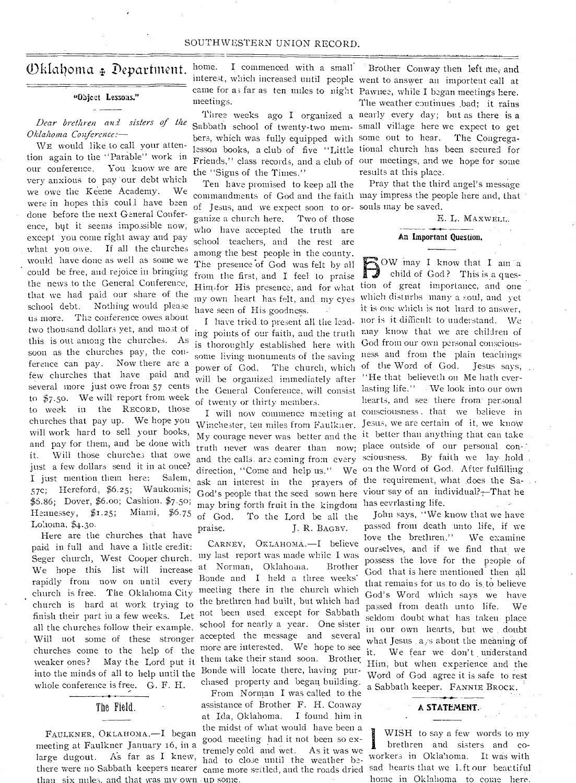#### SOUTHWESTERN UNION RECORD.

#### Oklahoma <sub>+</sub> Department. home.

#### "Object Lessons."

*Dear brethren and sisters of the Oklahoma Conference:—* 

*WE* would like to call your attention again to the "Parable" work in our conference. You know we are very anxious to pay our debt which we owe the Keene Academy. We were in hopes this coull have been done before the next General Conference, but it seems impossible now, except you come right away and pay what you owe. If all the churches would have done as well as some we could be free, and rejoice in bringing the news to the General Conference, that we had paid our share of the school debt. Nothing would please us more. The conference owes about two thousand dollars yet, and most of this is out among the churches. As soon as the churches pay, the conference can pay. Now there are a few churches that have paid and several more just owe from 57 cents to  $$7.50$ . We will report from week to week in the RECORD, those churches that pay up. We hope you will work hard to sell your books, and pay for them, and be done with it. Will those churches that owe just a few dollars send it in at once? I just mention them here: Salem, 57c; Hereford, \$6.25; Waukomis; \$6.86; Dover, \$6.00; Cashion. \$7.5o; Hennessey,  $$1.25;$ Lohoma,  $$4.30$ .

Here are the churches that have paid in full and have a little credit: Seger church, West Cooper church. We hope this list will increase rapidly from now on until every church is free. The Oklahoma City church is hard at work trying to the brethren had built, but which had finish their part in a few weeks. Let not been used except for Sabbath<br>all the churches follow their example school for nearly a year. One sister all the churches follow their example. Will not some of these stronger accepted the message and several churches come to the help of the more are interested. We hope to see weaker ones? May the Lord put it them take their stand soon. Brother into the minds of all to help until the Bonde will locate there, having purwhole conference is free. G. F. H.

#### The Field.

FAULKNER, OKLAHOMA .—I than six miles. and that was my own up some.

I commenced with a small meetings.

Sabbath school of twenty-two mem-small village here we expect to get bers, which was fully equipped with some out to hear. The Congregalesson books, a club of five "Little tional church has been secured for Friends," class records, and a club of our meetings, and we hope for some the "Signs of the Times."

Ten have promised to keep all the of Jesus, and we expect soon to or-souls may be saved. ganize a church here. Two of those who have accepted the truth are school teachers, and the rest are among the best people in the county. The presence of God was felt by all from the first, and I feel to praise my own heart has felt, and my eyes which disturbs many a soul, and yet have seen of His goodness.

ing points of our faith, and the truth may know that we are children of is thoroughly established here with some living monuments of the saving will be organized immediately after of twenty or thirty members.

and the calls. are coming from every ask an interest in the prayers of may bring forth fruit in the kingdom has eevriasting life. of God. To the Lord be all the praise. J. R. BAGBY.

chased property and began building. CARNEY, OKLAHOMA.—I believe my last report was made while I was at Norman, Oklahoma. Brother Bonde and I held a three weeks' meeting there in the church which

From Norman I was called to the assistance of Brother F. H. Conway at Ida, Oklahoma. I found . him in the midst of what would have been a<br>good meeting had it not been so exmeeting at Faulkner January 16, in a  $\frac{3000 \text{ meters}}{\text{tremely cold}}$  had it not been so ex-<br>large dugout. As far as I knew, had to close until the weather has had to close until the weather bethere were no Sabbath keepers nearer came more settled, and the roads dried sad hearts that we 1,ft our beautiful

interest, which increased until people went to answer an importent call at came for as far as ten miles to night Pawnee, while I began meetings here. Three weeks ago I organized a nearly every day; but as there is a Brother Conway then left me; and The weather continues .bad; it rains results at this place.

commandments of God and the faith may impress the people here and, that Pray that the third angel's message

> E. L. MAXWELL. An Important Question.

Him.for His presence, and for what tion of great importance, and one I have tried to present all the lead-nor is it difficult to understand. We power of God. The church, which of the Word of God. Jesus says, the General Conference, will consist lasting life." • We look into our own I will now commence meeting at consciousness. that we believe in Winchester, ten miles from Faulkner. Jesus, we are certain of it, we know My courage never was better and the it better than anything that can take truth never was dearer than now; place outside of our personal con-7. direction, "Come and help us." We on the Word of God. After fulfilling . God's people that the seed sown here viour say of an individual? $\div$ That he  $\Box$ OW may I know that I am a child of God? This is a quesit is one which is not hard to answer, God from our own personal consciousness and from the plain teachings "He that believeth on Me hath everhearts, and see there from personal sciousness. By faith we lay..hold . the requirement, what does the Sa-

> John says, "We know that we have passed from death unto life, if we love the brethren." We examine ourselves, and if we find that we possess the love for the people of God that is here mentioned then all that remains for us to do is to believe God's Word which says we have passed from death unto life. We seldom doubt what has taken place in our own hearts, but we . doubt what Jesus  $a/s$  about the meaning of it. We fear we don't understand Him, but when experience and the Word of God agree it is safe to rest a Sabbath keeper. FANNIE BROCK.

#### A STATEMENT..

 $\mathbf{l}$  WISH to say a few words to my brethren and sisters and coworkers in Oklahoma. It was with home in Oklahoma to come here.